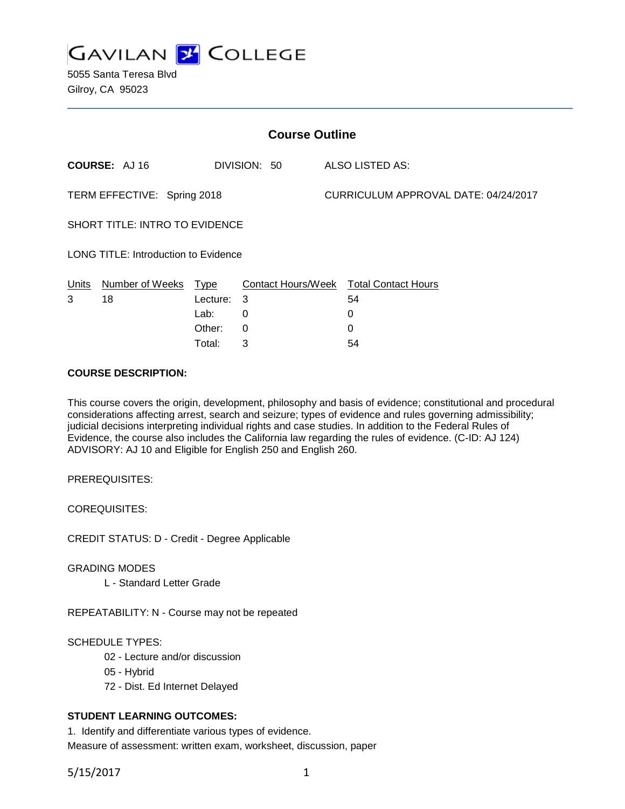

5055 Santa Teresa Blvd Gilroy, CA 95023

| <b>Course Outline</b>                       |                      |          |              |  |                                        |  |
|---------------------------------------------|----------------------|----------|--------------|--|----------------------------------------|--|
|                                             | COURSE: AJ 16        |          | DIVISION: 50 |  | <b>ALSO LISTED AS:</b>                 |  |
| TERM EFFECTIVE: Spring 2018                 |                      |          |              |  | CURRICULUM APPROVAL DATE: 04/24/2017   |  |
| SHORT TITLE: INTRO TO EVIDENCE              |                      |          |              |  |                                        |  |
| <b>LONG TITLE: Introduction to Evidence</b> |                      |          |              |  |                                        |  |
| <u>Units</u>                                | Number of Weeks Type |          |              |  | Contact Hours/Week Total Contact Hours |  |
| 3                                           | 18                   | Lecture: | 3            |  | 54                                     |  |
|                                             |                      | Lab:     | 0            |  | 0                                      |  |
|                                             |                      | Other:   | 0            |  | 0                                      |  |
|                                             |                      | Total:   | 3            |  | 54                                     |  |

## **COURSE DESCRIPTION:**

This course covers the origin, development, philosophy and basis of evidence; constitutional and procedural considerations affecting arrest, search and seizure; types of evidence and rules governing admissibility; judicial decisions interpreting individual rights and case studies. In addition to the Federal Rules of Evidence, the course also includes the California law regarding the rules of evidence. (C-ID: AJ 124) ADVISORY: AJ 10 and Eligible for English 250 and English 260.

PREREQUISITES:

COREQUISITES:

CREDIT STATUS: D - Credit - Degree Applicable

GRADING MODES

L - Standard Letter Grade

REPEATABILITY: N - Course may not be repeated

SCHEDULE TYPES:

- 02 Lecture and/or discussion
- 05 Hybrid
- 72 Dist. Ed Internet Delayed

# **STUDENT LEARNING OUTCOMES:**

1. Identify and differentiate various types of evidence. Measure of assessment: written exam, worksheet, discussion, paper

5/15/2017 1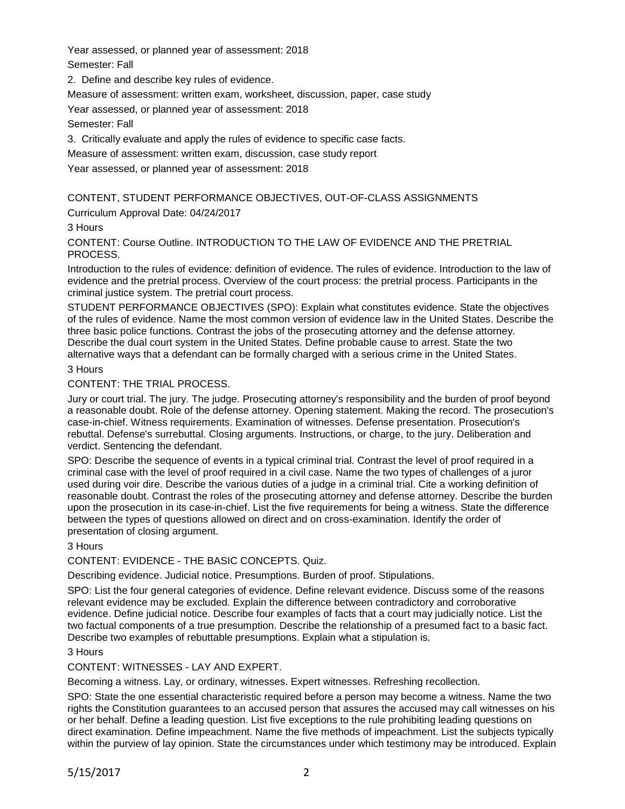Year assessed, or planned year of assessment: 2018 Semester: Fall

2. Define and describe key rules of evidence.

Measure of assessment: written exam, worksheet, discussion, paper, case study

Year assessed, or planned year of assessment: 2018

Semester: Fall

3. Critically evaluate and apply the rules of evidence to specific case facts.

Measure of assessment: written exam, discussion, case study report

Year assessed, or planned year of assessment: 2018

# CONTENT, STUDENT PERFORMANCE OBJECTIVES, OUT-OF-CLASS ASSIGNMENTS

Curriculum Approval Date: 04/24/2017

3 Hours

CONTENT: Course Outline. INTRODUCTION TO THE LAW OF EVIDENCE AND THE PRETRIAL PROCESS.

Introduction to the rules of evidence: definition of evidence. The rules of evidence. Introduction to the law of evidence and the pretrial process. Overview of the court process: the pretrial process. Participants in the criminal justice system. The pretrial court process.

STUDENT PERFORMANCE OBJECTIVES (SPO): Explain what constitutes evidence. State the objectives of the rules of evidence. Name the most common version of evidence law in the United States. Describe the three basic police functions. Contrast the jobs of the prosecuting attorney and the defense attorney. Describe the dual court system in the United States. Define probable cause to arrest. State the two alternative ways that a defendant can be formally charged with a serious crime in the United States.

### 3 Hours

## CONTENT: THE TRIAL PROCESS.

Jury or court trial. The jury. The judge. Prosecuting attorney's responsibility and the burden of proof beyond a reasonable doubt. Role of the defense attorney. Opening statement. Making the record. The prosecution's case-in-chief. Witness requirements. Examination of witnesses. Defense presentation. Prosecution's rebuttal. Defense's surrebuttal. Closing arguments. Instructions, or charge, to the jury. Deliberation and verdict. Sentencing the defendant.

SPO: Describe the sequence of events in a typical criminal trial. Contrast the level of proof required in a criminal case with the level of proof required in a civil case. Name the two types of challenges of a juror used during voir dire. Describe the various duties of a judge in a criminal trial. Cite a working definition of reasonable doubt. Contrast the roles of the prosecuting attorney and defense attorney. Describe the burden upon the prosecution in its case-in-chief. List the five requirements for being a witness. State the difference between the types of questions allowed on direct and on cross-examination. Identify the order of presentation of closing argument.

3 Hours

CONTENT: EVIDENCE - THE BASIC CONCEPTS. Quiz.

Describing evidence. Judicial notice. Presumptions. Burden of proof. Stipulations.

SPO: List the four general categories of evidence. Define relevant evidence. Discuss some of the reasons relevant evidence may be excluded. Explain the difference between contradictory and corroborative evidence. Define judicial notice. Describe four examples of facts that a court may judicially notice. List the two factual components of a true presumption. Describe the relationship of a presumed fact to a basic fact. Describe two examples of rebuttable presumptions. Explain what a stipulation is.

## 3 Hours

## CONTENT: WITNESSES - LAY AND EXPERT.

Becoming a witness. Lay, or ordinary, witnesses. Expert witnesses. Refreshing recollection.

SPO: State the one essential characteristic required before a person may become a witness. Name the two rights the Constitution guarantees to an accused person that assures the accused may call witnesses on his or her behalf. Define a leading question. List five exceptions to the rule prohibiting leading questions on direct examination. Define impeachment. Name the five methods of impeachment. List the subjects typically within the purview of lay opinion. State the circumstances under which testimony may be introduced. Explain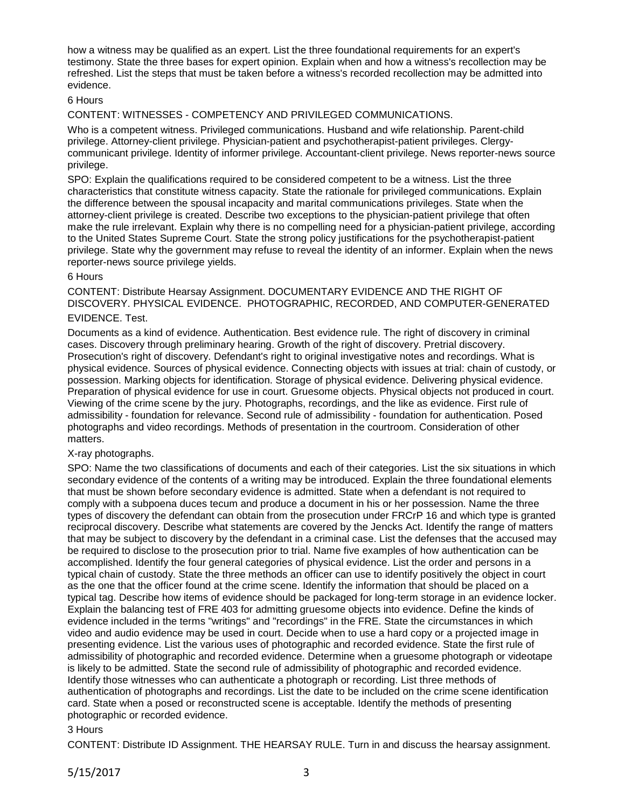how a witness may be qualified as an expert. List the three foundational requirements for an expert's testimony. State the three bases for expert opinion. Explain when and how a witness's recollection may be refreshed. List the steps that must be taken before a witness's recorded recollection may be admitted into evidence.

# 6 Hours

# CONTENT: WITNESSES - COMPETENCY AND PRIVILEGED COMMUNICATIONS.

Who is a competent witness. Privileged communications. Husband and wife relationship. Parent-child privilege. Attorney-client privilege. Physician-patient and psychotherapist-patient privileges. Clergycommunicant privilege. Identity of informer privilege. Accountant-client privilege. News reporter-news source privilege.

SPO: Explain the qualifications required to be considered competent to be a witness. List the three characteristics that constitute witness capacity. State the rationale for privileged communications. Explain the difference between the spousal incapacity and marital communications privileges. State when the attorney-client privilege is created. Describe two exceptions to the physician-patient privilege that often make the rule irrelevant. Explain why there is no compelling need for a physician-patient privilege, according to the United States Supreme Court. State the strong policy justifications for the psychotherapist-patient privilege. State why the government may refuse to reveal the identity of an informer. Explain when the news reporter-news source privilege yields.

### 6 Hours

CONTENT: Distribute Hearsay Assignment. DOCUMENTARY EVIDENCE AND THE RIGHT OF DISCOVERY. PHYSICAL EVIDENCE. PHOTOGRAPHIC, RECORDED, AND COMPUTER-GENERATED

## EVIDENCE. Test.

Documents as a kind of evidence. Authentication. Best evidence rule. The right of discovery in criminal cases. Discovery through preliminary hearing. Growth of the right of discovery. Pretrial discovery. Prosecution's right of discovery. Defendant's right to original investigative notes and recordings. What is physical evidence. Sources of physical evidence. Connecting objects with issues at trial: chain of custody, or possession. Marking objects for identification. Storage of physical evidence. Delivering physical evidence. Preparation of physical evidence for use in court. Gruesome objects. Physical objects not produced in court. Viewing of the crime scene by the jury. Photographs, recordings, and the like as evidence. First rule of admissibility - foundation for relevance. Second rule of admissibility - foundation for authentication. Posed photographs and video recordings. Methods of presentation in the courtroom. Consideration of other matters.

## X-ray photographs.

SPO: Name the two classifications of documents and each of their categories. List the six situations in which secondary evidence of the contents of a writing may be introduced. Explain the three foundational elements that must be shown before secondary evidence is admitted. State when a defendant is not required to comply with a subpoena duces tecum and produce a document in his or her possession. Name the three types of discovery the defendant can obtain from the prosecution under FRCrP 16 and which type is granted reciprocal discovery. Describe what statements are covered by the Jencks Act. Identify the range of matters that may be subject to discovery by the defendant in a criminal case. List the defenses that the accused may be required to disclose to the prosecution prior to trial. Name five examples of how authentication can be accomplished. Identify the four general categories of physical evidence. List the order and persons in a typical chain of custody. State the three methods an officer can use to identify positively the object in court as the one that the officer found at the crime scene. Identify the information that should be placed on a typical tag. Describe how items of evidence should be packaged for long-term storage in an evidence locker. Explain the balancing test of FRE 403 for admitting gruesome objects into evidence. Define the kinds of evidence included in the terms "writings" and "recordings" in the FRE. State the circumstances in which video and audio evidence may be used in court. Decide when to use a hard copy or a projected image in presenting evidence. List the various uses of photographic and recorded evidence. State the first rule of admissibility of photographic and recorded evidence. Determine when a gruesome photograph or videotape is likely to be admitted. State the second rule of admissibility of photographic and recorded evidence. Identify those witnesses who can authenticate a photograph or recording. List three methods of authentication of photographs and recordings. List the date to be included on the crime scene identification card. State when a posed or reconstructed scene is acceptable. Identify the methods of presenting photographic or recorded evidence.

## 3 Hours

CONTENT: Distribute ID Assignment. THE HEARSAY RULE. Turn in and discuss the hearsay assignment.

5/15/2017 3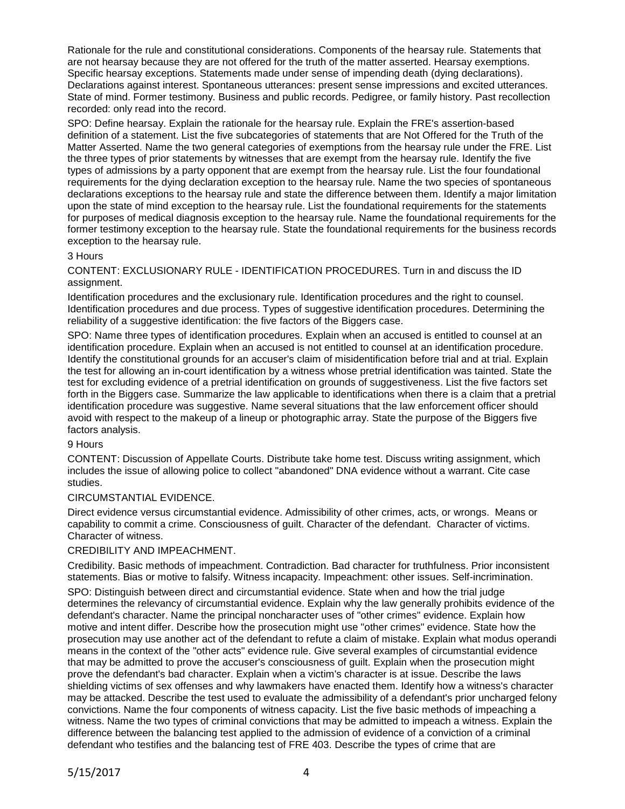Rationale for the rule and constitutional considerations. Components of the hearsay rule. Statements that are not hearsay because they are not offered for the truth of the matter asserted. Hearsay exemptions. Specific hearsay exceptions. Statements made under sense of impending death (dying declarations). Declarations against interest. Spontaneous utterances: present sense impressions and excited utterances. State of mind. Former testimony. Business and public records. Pedigree, or family history. Past recollection recorded: only read into the record.

SPO: Define hearsay. Explain the rationale for the hearsay rule. Explain the FRE's assertion-based definition of a statement. List the five subcategories of statements that are Not Offered for the Truth of the Matter Asserted. Name the two general categories of exemptions from the hearsay rule under the FRE. List the three types of prior statements by witnesses that are exempt from the hearsay rule. Identify the five types of admissions by a party opponent that are exempt from the hearsay rule. List the four foundational requirements for the dying declaration exception to the hearsay rule. Name the two species of spontaneous declarations exceptions to the hearsay rule and state the difference between them. Identify a major limitation upon the state of mind exception to the hearsay rule. List the foundational requirements for the statements for purposes of medical diagnosis exception to the hearsay rule. Name the foundational requirements for the former testimony exception to the hearsay rule. State the foundational requirements for the business records exception to the hearsay rule.

### 3 Hours

CONTENT: EXCLUSIONARY RULE - IDENTIFICATION PROCEDURES. Turn in and discuss the ID assignment.

Identification procedures and the exclusionary rule. Identification procedures and the right to counsel. Identification procedures and due process. Types of suggestive identification procedures. Determining the reliability of a suggestive identification: the five factors of the Biggers case.

SPO: Name three types of identification procedures. Explain when an accused is entitled to counsel at an identification procedure. Explain when an accused is not entitled to counsel at an identification procedure. Identify the constitutional grounds for an accuser's claim of misidentification before trial and at trial. Explain the test for allowing an in-court identification by a witness whose pretrial identification was tainted. State the test for excluding evidence of a pretrial identification on grounds of suggestiveness. List the five factors set forth in the Biggers case. Summarize the law applicable to identifications when there is a claim that a pretrial identification procedure was suggestive. Name several situations that the law enforcement officer should avoid with respect to the makeup of a lineup or photographic array. State the purpose of the Biggers five factors analysis.

### 9 Hours

CONTENT: Discussion of Appellate Courts. Distribute take home test. Discuss writing assignment, which includes the issue of allowing police to collect "abandoned" DNA evidence without a warrant. Cite case studies.

## CIRCUMSTANTIAL EVIDENCE.

Direct evidence versus circumstantial evidence. Admissibility of other crimes, acts, or wrongs. Means or capability to commit a crime. Consciousness of guilt. Character of the defendant. Character of victims. Character of witness.

## CREDIBILITY AND IMPEACHMENT.

Credibility. Basic methods of impeachment. Contradiction. Bad character for truthfulness. Prior inconsistent statements. Bias or motive to falsify. Witness incapacity. Impeachment: other issues. Self-incrimination.

SPO: Distinguish between direct and circumstantial evidence. State when and how the trial judge determines the relevancy of circumstantial evidence. Explain why the law generally prohibits evidence of the defendant's character. Name the principal noncharacter uses of "other crimes" evidence. Explain how motive and intent differ. Describe how the prosecution might use "other crimes" evidence. State how the prosecution may use another act of the defendant to refute a claim of mistake. Explain what modus operandi means in the context of the "other acts" evidence rule. Give several examples of circumstantial evidence that may be admitted to prove the accuser's consciousness of guilt. Explain when the prosecution might prove the defendant's bad character. Explain when a victim's character is at issue. Describe the laws shielding victims of sex offenses and why lawmakers have enacted them. Identify how a witness's character may be attacked. Describe the test used to evaluate the admissibility of a defendant's prior uncharged felony convictions. Name the four components of witness capacity. List the five basic methods of impeaching a witness. Name the two types of criminal convictions that may be admitted to impeach a witness. Explain the difference between the balancing test applied to the admission of evidence of a conviction of a criminal defendant who testifies and the balancing test of FRE 403. Describe the types of crime that are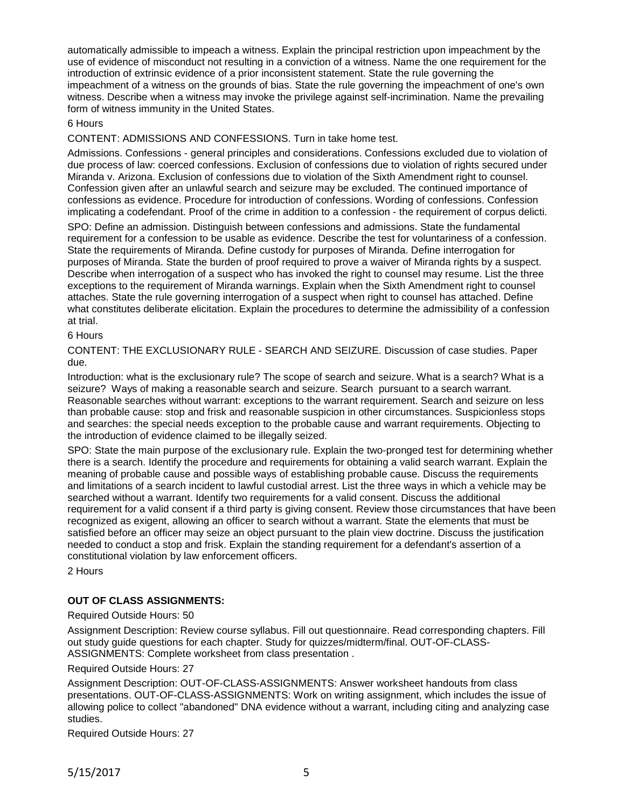automatically admissible to impeach a witness. Explain the principal restriction upon impeachment by the use of evidence of misconduct not resulting in a conviction of a witness. Name the one requirement for the introduction of extrinsic evidence of a prior inconsistent statement. State the rule governing the impeachment of a witness on the grounds of bias. State the rule governing the impeachment of one's own witness. Describe when a witness may invoke the privilege against self-incrimination. Name the prevailing form of witness immunity in the United States.

#### 6 Hours

CONTENT: ADMISSIONS AND CONFESSIONS. Turn in take home test.

Admissions. Confessions - general principles and considerations. Confessions excluded due to violation of due process of law: coerced confessions. Exclusion of confessions due to violation of rights secured under Miranda v. Arizona. Exclusion of confessions due to violation of the Sixth Amendment right to counsel. Confession given after an unlawful search and seizure may be excluded. The continued importance of confessions as evidence. Procedure for introduction of confessions. Wording of confessions. Confession implicating a codefendant. Proof of the crime in addition to a confession - the requirement of corpus delicti.

SPO: Define an admission. Distinguish between confessions and admissions. State the fundamental requirement for a confession to be usable as evidence. Describe the test for voluntariness of a confession. State the requirements of Miranda. Define custody for purposes of Miranda. Define interrogation for purposes of Miranda. State the burden of proof required to prove a waiver of Miranda rights by a suspect. Describe when interrogation of a suspect who has invoked the right to counsel may resume. List the three exceptions to the requirement of Miranda warnings. Explain when the Sixth Amendment right to counsel attaches. State the rule governing interrogation of a suspect when right to counsel has attached. Define what constitutes deliberate elicitation. Explain the procedures to determine the admissibility of a confession at trial.

#### 6 Hours

CONTENT: THE EXCLUSIONARY RULE - SEARCH AND SEIZURE. Discussion of case studies. Paper due.

Introduction: what is the exclusionary rule? The scope of search and seizure. What is a search? What is a seizure? Ways of making a reasonable search and seizure. Search pursuant to a search warrant. Reasonable searches without warrant: exceptions to the warrant requirement. Search and seizure on less than probable cause: stop and frisk and reasonable suspicion in other circumstances. Suspicionless stops and searches: the special needs exception to the probable cause and warrant requirements. Objecting to the introduction of evidence claimed to be illegally seized.

SPO: State the main purpose of the exclusionary rule. Explain the two-pronged test for determining whether there is a search. Identify the procedure and requirements for obtaining a valid search warrant. Explain the meaning of probable cause and possible ways of establishing probable cause. Discuss the requirements and limitations of a search incident to lawful custodial arrest. List the three ways in which a vehicle may be searched without a warrant. Identify two requirements for a valid consent. Discuss the additional requirement for a valid consent if a third party is giving consent. Review those circumstances that have been recognized as exigent, allowing an officer to search without a warrant. State the elements that must be satisfied before an officer may seize an object pursuant to the plain view doctrine. Discuss the justification needed to conduct a stop and frisk. Explain the standing requirement for a defendant's assertion of a constitutional violation by law enforcement officers.

2 Hours

## **OUT OF CLASS ASSIGNMENTS:**

#### Required Outside Hours: 50

Assignment Description: Review course syllabus. Fill out questionnaire. Read corresponding chapters. Fill out study guide questions for each chapter. Study for quizzes/midterm/final. OUT-OF-CLASS-ASSIGNMENTS: Complete worksheet from class presentation .

#### Required Outside Hours: 27

Assignment Description: OUT-OF-CLASS-ASSIGNMENTS: Answer worksheet handouts from class presentations. OUT-OF-CLASS-ASSIGNMENTS: Work on writing assignment, which includes the issue of allowing police to collect "abandoned" DNA evidence without a warrant, including citing and analyzing case studies.

Required Outside Hours: 27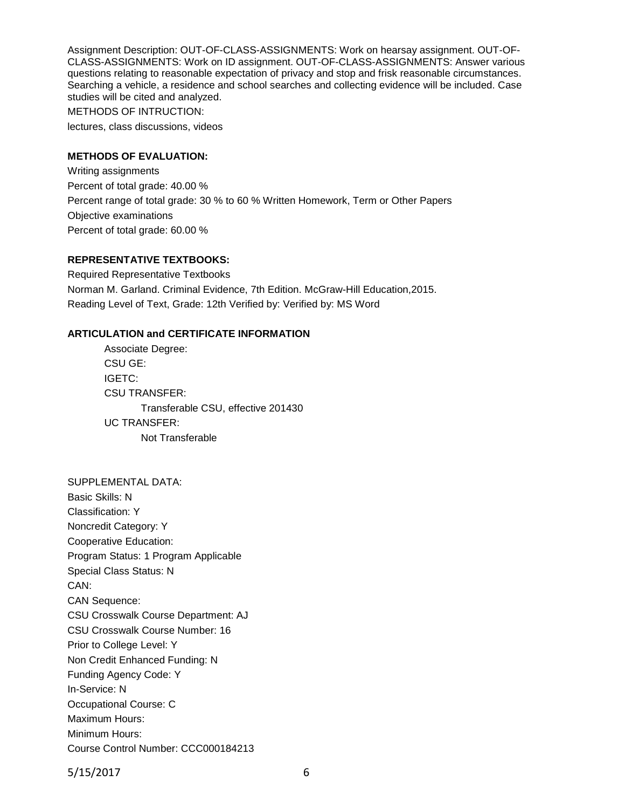Assignment Description: OUT-OF-CLASS-ASSIGNMENTS: Work on hearsay assignment. OUT-OF-CLASS-ASSIGNMENTS: Work on ID assignment. OUT-OF-CLASS-ASSIGNMENTS: Answer various questions relating to reasonable expectation of privacy and stop and frisk reasonable circumstances. Searching a vehicle, a residence and school searches and collecting evidence will be included. Case studies will be cited and analyzed.

METHODS OF INTRUCTION:

lectures, class discussions, videos

### **METHODS OF EVALUATION:**

Writing assignments Percent of total grade: 40.00 % Percent range of total grade: 30 % to 60 % Written Homework, Term or Other Papers Objective examinations Percent of total grade: 60.00 %

## **REPRESENTATIVE TEXTBOOKS:**

Required Representative Textbooks Norman M. Garland. Criminal Evidence, 7th Edition. McGraw-Hill Education,2015. Reading Level of Text, Grade: 12th Verified by: Verified by: MS Word

### **ARTICULATION and CERTIFICATE INFORMATION**

Associate Degree: CSU GE: IGETC: CSU TRANSFER: Transferable CSU, effective 201430 UC TRANSFER: Not Transferable

SUPPLEMENTAL DATA: Basic Skills: N Classification: Y Noncredit Category: Y Cooperative Education: Program Status: 1 Program Applicable Special Class Status: N CAN: CAN Sequence: CSU Crosswalk Course Department: AJ CSU Crosswalk Course Number: 16 Prior to College Level: Y Non Credit Enhanced Funding: N Funding Agency Code: Y In-Service: N Occupational Course: C Maximum Hours: Minimum Hours: Course Control Number: CCC000184213

5/15/2017 6